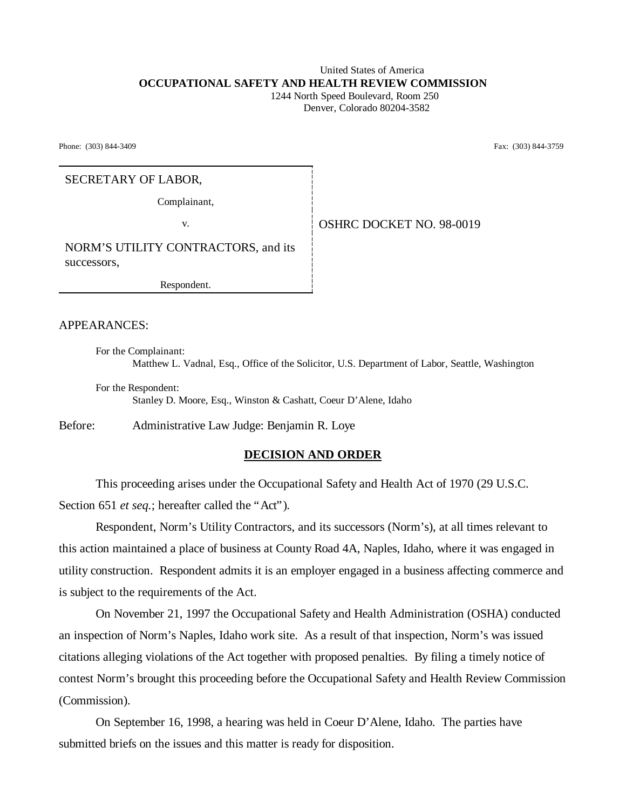# United States of America **OCCUPATIONAL SAFETY AND HEALTH REVIEW COMMISSION**

 1244 North Speed Boulevard, Room 250 Denver, Colorado 80204-3582

Phone: (303) 844-3409 Fax: (303) 844-3759

#### SECRETARY OF LABOR,

Complainant,

v. Same **OSHRC DOCKET NO. 98-0019** 

NORM'S UTILITY CONTRACTORS, and its successors,

Respondent.

APPEARANCES:

For the Complainant: Matthew L. Vadnal, Esq., Office of the Solicitor, U.S. Department of Labor, Seattle, Washington

For the Respondent: Stanley D. Moore, Esq., Winston & Cashatt, Coeur D'Alene, Idaho

Before: Administrative Law Judge: Benjamin R. Loye

### **DECISION AND ORDER**

This proceeding arises under the Occupational Safety and Health Act of 1970 (29 U.S.C. Section 651 *et seq.*; hereafter called the "Act").

Respondent, Norm's Utility Contractors, and its successors (Norm's), at all times relevant to this action maintained a place of business at County Road 4A, Naples, Idaho, where it was engaged in utility construction. Respondent admits it is an employer engaged in a business affecting commerce and is subject to the requirements of the Act.

On November 21, 1997 the Occupational Safety and Health Administration (OSHA) conducted an inspection of Norm's Naples, Idaho work site. As a result of that inspection, Norm's was issued citations alleging violations of the Act together with proposed penalties. By filing a timely notice of contest Norm's brought this proceeding before the Occupational Safety and Health Review Commission (Commission).

On September 16, 1998, a hearing was held in Coeur D'Alene, Idaho. The parties have submitted briefs on the issues and this matter is ready for disposition.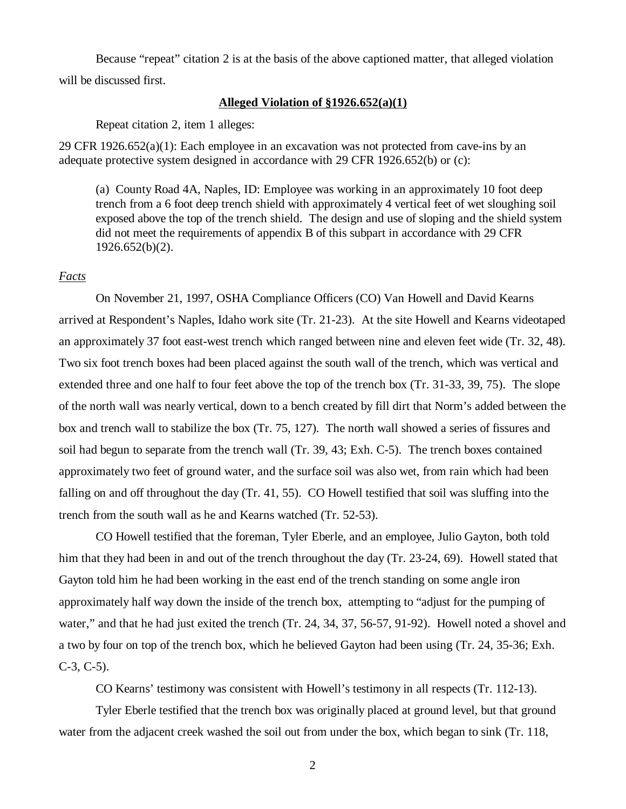Because "repeat" citation 2 is at the basis of the above captioned matter, that alleged violation will be discussed first.

#### **Alleged Violation of §1926.652(a)(1)**

Repeat citation 2, item 1 alleges:

29 CFR 1926.652(a)(1): Each employee in an excavation was not protected from cave-ins by an adequate protective system designed in accordance with 29 CFR 1926.652(b) or (c):

(a) County Road 4A, Naples, ID: Employee was working in an approximately 10 foot deep trench from a 6 foot deep trench shield with approximately 4 vertical feet of wet sloughing soil exposed above the top of the trench shield. The design and use of sloping and the shield system did not meet the requirements of appendix B of this subpart in accordance with 29 CFR 1926.652(b)(2).

#### *Facts*

On November 21, 1997, OSHA Compliance Officers (CO) Van Howell and David Kearns arrived at Respondent's Naples, Idaho work site (Tr. 21-23). At the site Howell and Kearns videotaped an approximately 37 foot east-west trench which ranged between nine and eleven feet wide (Tr. 32, 48). Two six foot trench boxes had been placed against the south wall of the trench, which was vertical and extended three and one half to four feet above the top of the trench box (Tr. 31-33, 39, 75). The slope of the north wall was nearly vertical, down to a bench created by fill dirt that Norm's added between the box and trench wall to stabilize the box (Tr. 75, 127). The north wall showed a series of fissures and soil had begun to separate from the trench wall (Tr. 39, 43; Exh. C-5). The trench boxes contained approximately two feet of ground water, and the surface soil was also wet, from rain which had been falling on and off throughout the day (Tr. 41, 55). CO Howell testified that soil was sluffing into the trench from the south wall as he and Kearns watched (Tr. 52-53).

CO Howell testified that the foreman, Tyler Eberle, and an employee, Julio Gayton, both told him that they had been in and out of the trench throughout the day (Tr. 23-24, 69). Howell stated that Gayton told him he had been working in the east end of the trench standing on some angle iron approximately half way down the inside of the trench box, attempting to "adjust for the pumping of water," and that he had just exited the trench (Tr. 24, 34, 37, 56-57, 91-92). Howell noted a shovel and a two by four on top of the trench box, which he believed Gayton had been using (Tr. 24, 35-36; Exh.  $C-3, C-5$ ).

CO Kearns' testimony was consistent with Howell's testimony in all respects (Tr. 112-13).

Tyler Eberle testified that the trench box was originally placed at ground level, but that ground water from the adjacent creek washed the soil out from under the box, which began to sink (Tr. 118,

2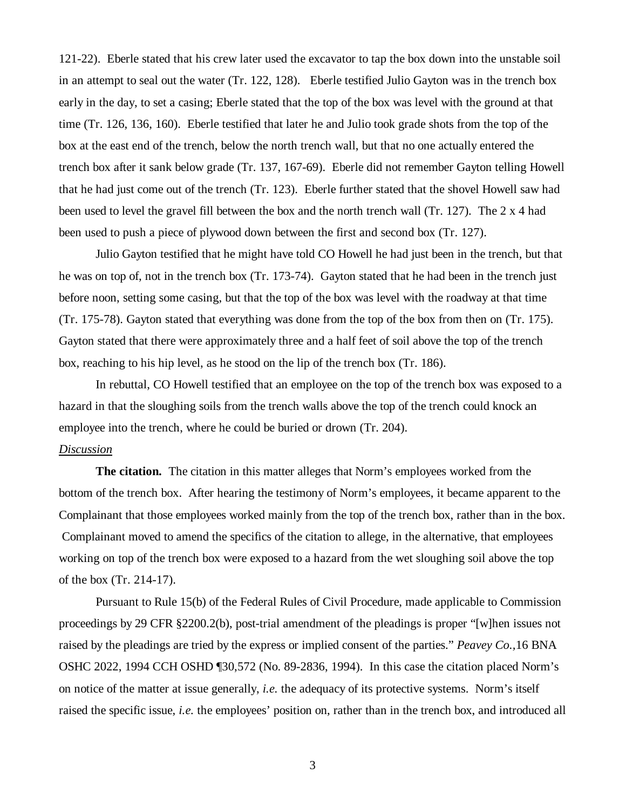121-22). Eberle stated that his crew later used the excavator to tap the box down into the unstable soil in an attempt to seal out the water (Tr. 122, 128). Eberle testified Julio Gayton was in the trench box early in the day, to set a casing; Eberle stated that the top of the box was level with the ground at that time (Tr. 126, 136, 160). Eberle testified that later he and Julio took grade shots from the top of the box at the east end of the trench, below the north trench wall, but that no one actually entered the trench box after it sank below grade (Tr. 137, 167-69). Eberle did not remember Gayton telling Howell that he had just come out of the trench (Tr. 123). Eberle further stated that the shovel Howell saw had been used to level the gravel fill between the box and the north trench wall (Tr. 127). The 2 x 4 had been used to push a piece of plywood down between the first and second box (Tr. 127).

Julio Gayton testified that he might have told CO Howell he had just been in the trench, but that he was on top of, not in the trench box (Tr. 173-74). Gayton stated that he had been in the trench just before noon, setting some casing, but that the top of the box was level with the roadway at that time (Tr. 175-78). Gayton stated that everything was done from the top of the box from then on (Tr. 175). Gayton stated that there were approximately three and a half feet of soil above the top of the trench box, reaching to his hip level, as he stood on the lip of the trench box (Tr. 186).

In rebuttal, CO Howell testified that an employee on the top of the trench box was exposed to a hazard in that the sloughing soils from the trench walls above the top of the trench could knock an employee into the trench, where he could be buried or drown (Tr. 204).

#### *Discussion*

**The citation.** The citation in this matter alleges that Norm's employees worked from the bottom of the trench box. After hearing the testimony of Norm's employees, it became apparent to the Complainant that those employees worked mainly from the top of the trench box, rather than in the box. Complainant moved to amend the specifics of the citation to allege, in the alternative, that employees working on top of the trench box were exposed to a hazard from the wet sloughing soil above the top of the box (Tr. 214-17).

Pursuant to Rule 15(b) of the Federal Rules of Civil Procedure, made applicable to Commission proceedings by 29 CFR §2200.2(b), post-trial amendment of the pleadings is proper "[w]hen issues not raised by the pleadings are tried by the express or implied consent of the parties." *Peavey Co.,*16 BNA OSHC 2022, 1994 CCH OSHD ¶30,572 (No. 89-2836, 1994). In this case the citation placed Norm's on notice of the matter at issue generally, *i.e.* the adequacy of its protective systems. Norm's itself raised the specific issue, *i.e.* the employees' position on, rather than in the trench box, and introduced all

3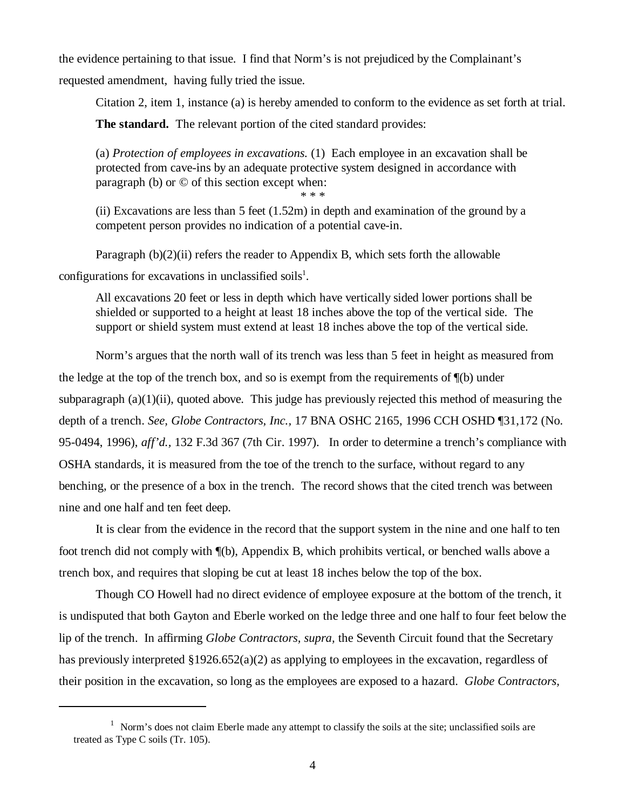the evidence pertaining to that issue. I find that Norm's is not prejudiced by the Complainant's

requested amendment, having fully tried the issue.

Citation 2, item 1, instance (a) is hereby amended to conform to the evidence as set forth at trial.

**The standard.** The relevant portion of the cited standard provides:

(a) *Protection of employees in excavations.* (1) Each employee in an excavation shall be protected from cave-ins by an adequate protective system designed in accordance with paragraph (b) or © of this section except when:

\* \* \*

(ii) Excavations are less than 5 feet (1.52m) in depth and examination of the ground by a competent person provides no indication of a potential cave-in.

Paragraph  $(b)(2)(ii)$  refers the reader to Appendix B, which sets forth the allowable configurations for excavations in unclassified soils<sup>1</sup>.

All excavations 20 feet or less in depth which have vertically sided lower portions shall be shielded or supported to a height at least 18 inches above the top of the vertical side. The support or shield system must extend at least 18 inches above the top of the vertical side.

Norm's argues that the north wall of its trench was less than 5 feet in height as measured from the ledge at the top of the trench box, and so is exempt from the requirements of  $\P(b)$  under subparagraph (a)(1)(ii), quoted above. This judge has previously rejected this method of measuring the depth of a trench. *See, Globe Contractors, Inc.,* 17 BNA OSHC 2165, 1996 CCH OSHD ¶31,172 (No. 95-0494, 1996), *aff'd.,* 132 F.3d 367 (7th Cir. 1997). In order to determine a trench's compliance with OSHA standards, it is measured from the toe of the trench to the surface, without regard to any benching, or the presence of a box in the trench. The record shows that the cited trench was between nine and one half and ten feet deep.

It is clear from the evidence in the record that the support system in the nine and one half to ten foot trench did not comply with ¶(b), Appendix B, which prohibits vertical, or benched walls above a trench box, and requires that sloping be cut at least 18 inches below the top of the box.

Though CO Howell had no direct evidence of employee exposure at the bottom of the trench, it is undisputed that both Gayton and Eberle worked on the ledge three and one half to four feet below the lip of the trench. In affirming *Globe Contractors, supra,* the Seventh Circuit found that the Secretary has previously interpreted §1926.652(a)(2) as applying to employees in the excavation, regardless of their position in the excavation, so long as the employees are exposed to a hazard. *Globe Contractors,*

 $1$  Norm's does not claim Eberle made any attempt to classify the soils at the site; unclassified soils are treated as Type C soils (Tr. 105).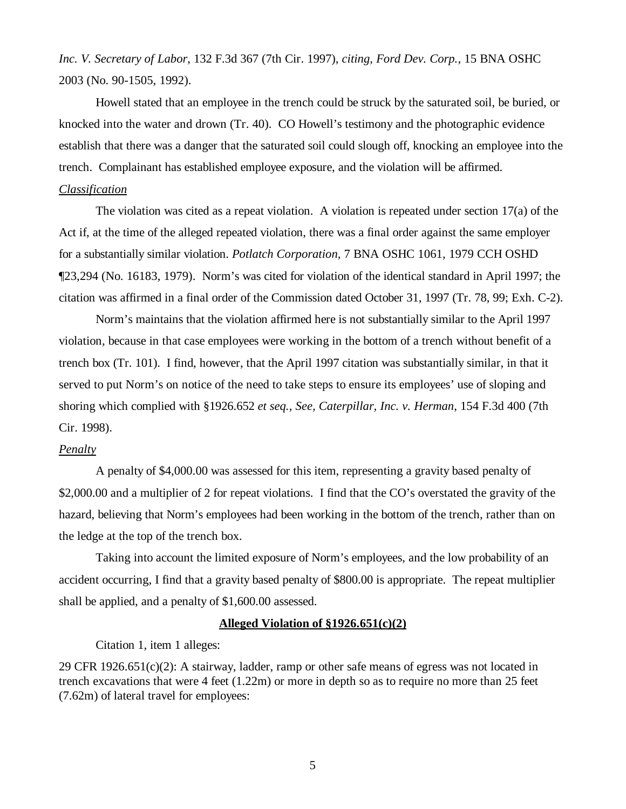*Inc. V. Secretary of Labor*, 132 F.3d 367 (7th Cir. 1997), *citing, Ford Dev. Corp.,* 15 BNA OSHC 2003 (No. 90-1505, 1992).

Howell stated that an employee in the trench could be struck by the saturated soil, be buried, or knocked into the water and drown (Tr. 40). CO Howell's testimony and the photographic evidence establish that there was a danger that the saturated soil could slough off, knocking an employee into the trench. Complainant has established employee exposure, and the violation will be affirmed.

#### *Classification*

The violation was cited as a repeat violation. A violation is repeated under section 17(a) of the Act if, at the time of the alleged repeated violation, there was a final order against the same employer for a substantially similar violation. *Potlatch Corporation,* 7 BNA OSHC 1061, 1979 CCH OSHD ¶23,294 (No. 16183, 1979). Norm's was cited for violation of the identical standard in April 1997; the citation was affirmed in a final order of the Commission dated October 31, 1997 (Tr. 78, 99; Exh. C-2).

Norm's maintains that the violation affirmed here is not substantially similar to the April 1997 violation, because in that case employees were working in the bottom of a trench without benefit of a trench box (Tr. 101). I find, however, that the April 1997 citation was substantially similar, in that it served to put Norm's on notice of the need to take steps to ensure its employees' use of sloping and shoring which complied with §1926.652 *et seq., See, Caterpillar, Inc. v. Herman*, 154 F.3d 400 (7th Cir. 1998).

### *Penalty*

A penalty of \$4,000.00 was assessed for this item, representing a gravity based penalty of \$2,000.00 and a multiplier of 2 for repeat violations. I find that the CO's overstated the gravity of the hazard, believing that Norm's employees had been working in the bottom of the trench, rather than on the ledge at the top of the trench box.

Taking into account the limited exposure of Norm's employees, and the low probability of an accident occurring, I find that a gravity based penalty of \$800.00 is appropriate. The repeat multiplier shall be applied, and a penalty of \$1,600.00 assessed.

### **Alleged Violation of §1926.651(c)(2)**

Citation 1, item 1 alleges:

29 CFR 1926.651(c)(2): A stairway, ladder, ramp or other safe means of egress was not located in trench excavations that were 4 feet (1.22m) or more in depth so as to require no more than 25 feet (7.62m) of lateral travel for employees: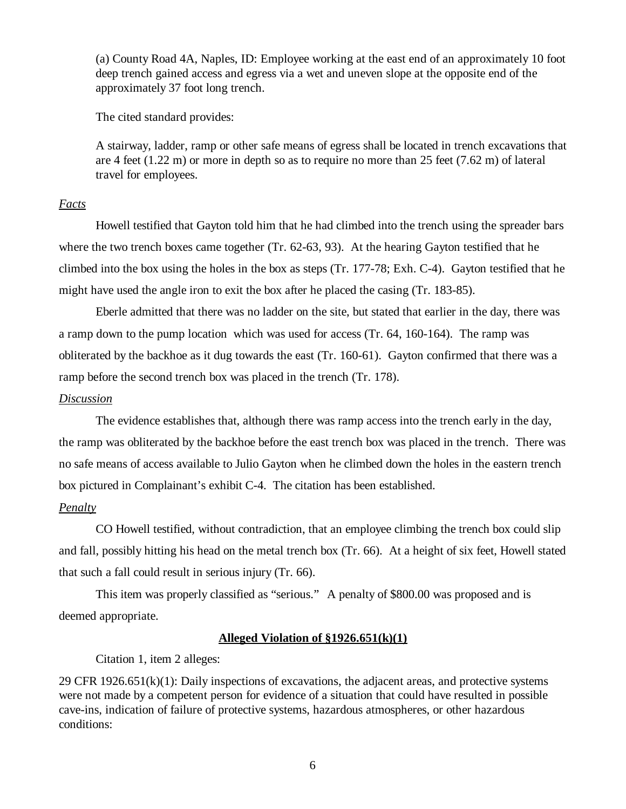(a) County Road 4A, Naples, ID: Employee working at the east end of an approximately 10 foot deep trench gained access and egress via a wet and uneven slope at the opposite end of the approximately 37 foot long trench.

The cited standard provides:

A stairway, ladder, ramp or other safe means of egress shall be located in trench excavations that are 4 feet (1.22 m) or more in depth so as to require no more than 25 feet (7.62 m) of lateral travel for employees.

## *Facts*

Howell testified that Gayton told him that he had climbed into the trench using the spreader bars where the two trench boxes came together (Tr. 62-63, 93). At the hearing Gayton testified that he climbed into the box using the holes in the box as steps (Tr. 177-78; Exh. C-4). Gayton testified that he might have used the angle iron to exit the box after he placed the casing (Tr. 183-85).

Eberle admitted that there was no ladder on the site, but stated that earlier in the day, there was a ramp down to the pump location which was used for access (Tr. 64, 160-164). The ramp was obliterated by the backhoe as it dug towards the east (Tr. 160-61). Gayton confirmed that there was a ramp before the second trench box was placed in the trench (Tr. 178).

### *Discussion*

The evidence establishes that, although there was ramp access into the trench early in the day, the ramp was obliterated by the backhoe before the east trench box was placed in the trench. There was no safe means of access available to Julio Gayton when he climbed down the holes in the eastern trench box pictured in Complainant's exhibit C-4. The citation has been established.

# *Penalty*

CO Howell testified, without contradiction, that an employee climbing the trench box could slip and fall, possibly hitting his head on the metal trench box (Tr. 66). At a height of six feet, Howell stated that such a fall could result in serious injury (Tr. 66).

This item was properly classified as "serious." A penalty of \$800.00 was proposed and is deemed appropriate.

## **Alleged Violation of §1926.651(k)(1)**

Citation 1, item 2 alleges:

29 CFR 1926.651 $(k)(1)$ : Daily inspections of excavations, the adjacent areas, and protective systems were not made by a competent person for evidence of a situation that could have resulted in possible cave-ins, indication of failure of protective systems, hazardous atmospheres, or other hazardous conditions: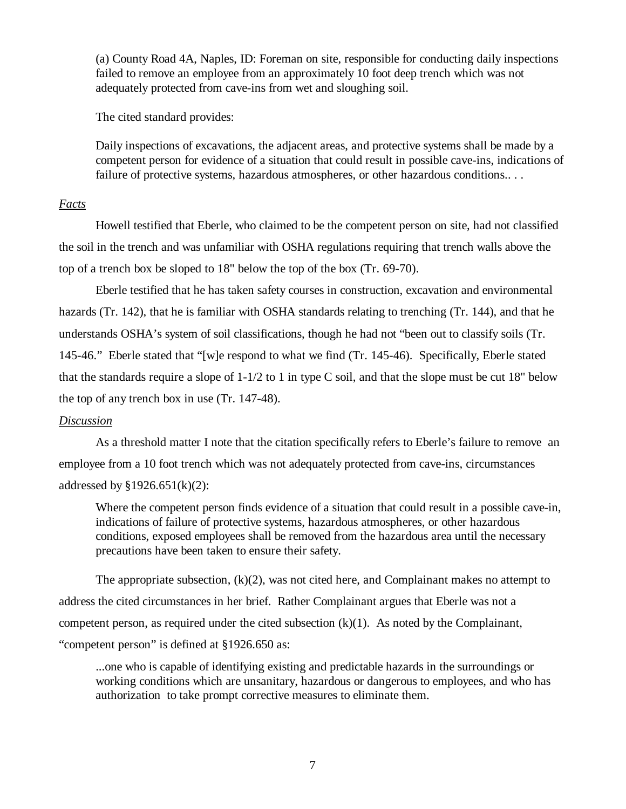(a) County Road 4A, Naples, ID: Foreman on site, responsible for conducting daily inspections failed to remove an employee from an approximately 10 foot deep trench which was not adequately protected from cave-ins from wet and sloughing soil.

The cited standard provides:

Daily inspections of excavations, the adjacent areas, and protective systems shall be made by a competent person for evidence of a situation that could result in possible cave-ins, indications of failure of protective systems, hazardous atmospheres, or other hazardous conditions...

### *Facts*

Howell testified that Eberle, who claimed to be the competent person on site, had not classified the soil in the trench and was unfamiliar with OSHA regulations requiring that trench walls above the top of a trench box be sloped to 18" below the top of the box (Tr. 69-70).

Eberle testified that he has taken safety courses in construction, excavation and environmental hazards (Tr. 142), that he is familiar with OSHA standards relating to trenching (Tr. 144), and that he understands OSHA's system of soil classifications, though he had not "been out to classify soils (Tr. 145-46." Eberle stated that "[w]e respond to what we find (Tr. 145-46). Specifically, Eberle stated that the standards require a slope of  $1-1/2$  to 1 in type C soil, and that the slope must be cut 18" below the top of any trench box in use (Tr. 147-48).

#### *Discussion*

As a threshold matter I note that the citation specifically refers to Eberle's failure to remove an employee from a 10 foot trench which was not adequately protected from cave-ins, circumstances addressed by  $$1926.651(k)(2):$ 

Where the competent person finds evidence of a situation that could result in a possible cave-in, indications of failure of protective systems, hazardous atmospheres, or other hazardous conditions, exposed employees shall be removed from the hazardous area until the necessary precautions have been taken to ensure their safety.

The appropriate subsection,  $(k)(2)$ , was not cited here, and Complainant makes no attempt to address the cited circumstances in her brief. Rather Complainant argues that Eberle was not a competent person, as required under the cited subsection  $(k)(1)$ . As noted by the Complainant, "competent person" is defined at §1926.650 as:

...one who is capable of identifying existing and predictable hazards in the surroundings or working conditions which are unsanitary, hazardous or dangerous to employees, and who has authorization to take prompt corrective measures to eliminate them.